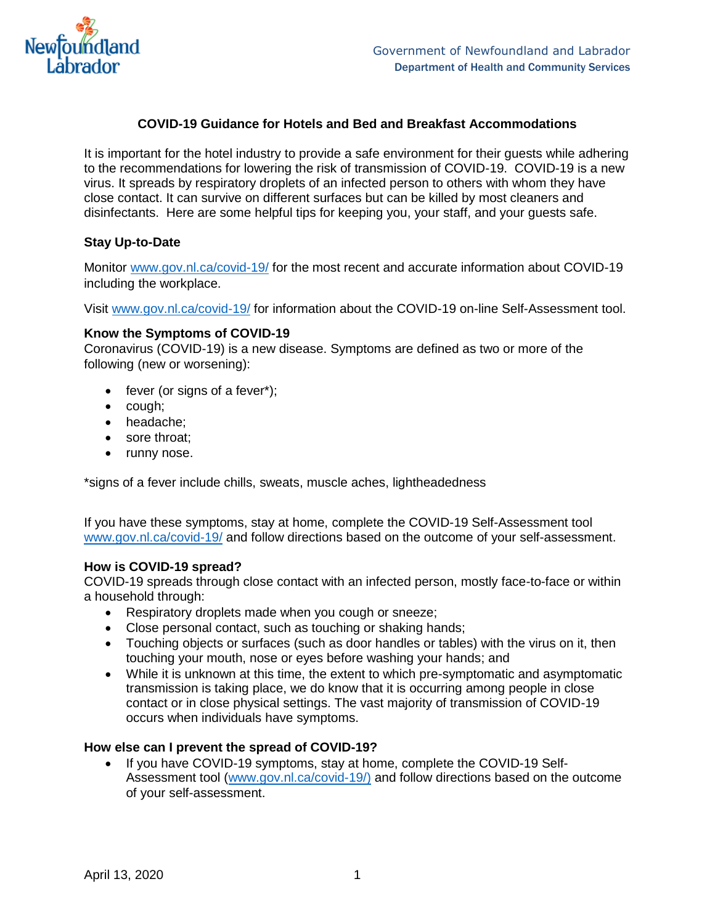

## **COVID-19 Guidance for Hotels and Bed and Breakfast Accommodations**

It is important for the hotel industry to provide a safe environment for their guests while adhering to the recommendations for lowering the risk of transmission of COVID-19. COVID-19 is a new virus. It spreads by respiratory droplets of an infected person to others with whom they have close contact. It can survive on different surfaces but can be killed by most cleaners and disinfectants. Here are some helpful tips for keeping you, your staff, and your guests safe.

## **Stay Up-to-Date**

Monitor [www.gov.nl.ca/covid-19/](http://www.gov.nl.ca/covid-19/) for the most recent and accurate information about COVID-19 including the workplace.

Visit [www.gov.nl.ca/covid-19/](http://www.gov.nl.ca/covid-19/) for information about the COVID-19 on-line Self-Assessment tool.

## **Know the Symptoms of COVID-19**

Coronavirus (COVID-19) is a new disease. Symptoms are defined as two or more of the following (new or worsening):

- fever (or signs of a fever\*);
- cough;
- headache:
- sore throat;
- runny nose.

\*signs of a fever include chills, sweats, muscle aches, lightheadedness

If you have these symptoms, stay at home, complete the COVID-19 Self-Assessment tool [www.gov.nl.ca/covid-19/](http://www.gov.nl.ca/covid-19/) and follow directions based on the outcome of your self-assessment.

## **How is COVID-19 spread?**

COVID-19 spreads through close contact with an infected person, mostly face-to-face or within a household through:

- Respiratory droplets made when you cough or sneeze;
- Close personal contact, such as touching or shaking hands;
- Touching objects or surfaces (such as door handles or tables) with the virus on it, then touching your mouth, nose or eyes before washing your hands; and
- While it is unknown at this time, the extent to which pre-symptomatic and asymptomatic transmission is taking place, we do know that it is occurring among people in close contact or in close physical settings. The vast majority of transmission of COVID-19 occurs when individuals have symptoms.

## **How else can I prevent the spread of COVID-19?**

 If you have COVID-19 symptoms, stay at home, complete the COVID-19 Self-Assessment tool [\(www.gov.nl.ca/covid-19/\)](http://www.gov.nl.ca/covid-19/) and follow directions based on the outcome of your self-assessment.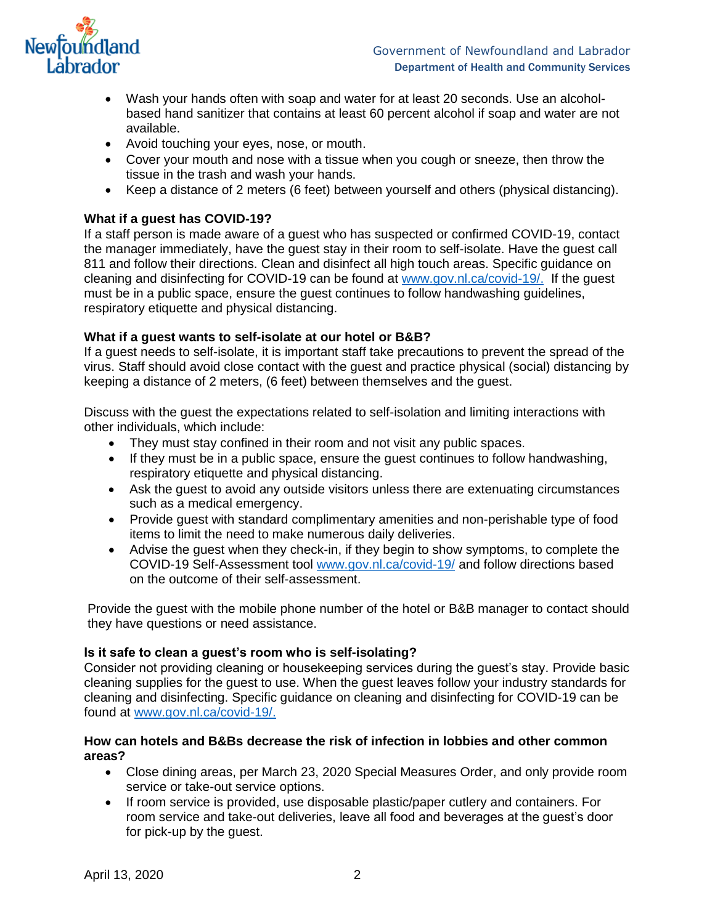

- Wash your hands often with soap and water for at least 20 seconds. Use an alcoholbased hand sanitizer that contains at least 60 percent alcohol if soap and water are not available.
- Avoid touching your eyes, nose, or mouth.
- Cover your mouth and nose with a tissue when you cough or sneeze, then throw the tissue in the trash and wash your hands.
- Keep a distance of 2 meters (6 feet) between yourself and others (physical distancing).

## **What if a guest has COVID-19?**

If a staff person is made aware of a guest who has suspected or confirmed COVID-19, contact the manager immediately, have the guest stay in their room to self-isolate. Have the guest call 811 and follow their directions. Clean and disinfect all high touch areas. Specific guidance on cleaning and disinfecting for COVID-19 can be found at [www.gov.nl.ca/covid-19/.](http://www.gov.nl.ca/covid-19/) If the guest must be in a public space, ensure the guest continues to follow handwashing guidelines, respiratory etiquette and physical distancing.

# **What if a guest wants to self-isolate at our hotel or B&B?**

If a guest needs to self-isolate, it is important staff take precautions to prevent the spread of the virus. Staff should avoid close contact with the guest and practice physical (social) distancing by keeping a distance of 2 meters, (6 feet) between themselves and the guest.

Discuss with the guest the expectations related to self-isolation and limiting interactions with other individuals, which include:

- They must stay confined in their room and not visit any public spaces.
- If they must be in a public space, ensure the quest continues to follow handwashing, respiratory etiquette and physical distancing.
- Ask the guest to avoid any outside visitors unless there are extenuating circumstances such as a medical emergency.
- Provide guest with standard complimentary amenities and non-perishable type of food items to limit the need to make numerous daily deliveries.
- Advise the guest when they check-in, if they begin to show symptoms, to complete the COVID-19 Self-Assessment tool [www.gov.nl.ca/covid-19/](http://www.gov.nl.ca/covid-19/) and follow directions based on the outcome of their self-assessment.

Provide the guest with the mobile phone number of the hotel or B&B manager to contact should they have questions or need assistance.

## **Is it safe to clean a guest's room who is self-isolating?**

Consider not providing cleaning or housekeeping services during the guest's stay. Provide basic cleaning supplies for the guest to use. When the guest leaves follow your industry standards for cleaning and disinfecting. Specific guidance on cleaning and disinfecting for COVID-19 can be found at [www.gov.nl.ca/covid-19/.](http://www.gov.nl.ca/covid-19/)

# **How can hotels and B&Bs decrease the risk of infection in lobbies and other common areas?**

- Close dining areas, per March 23, 2020 Special Measures Order, and only provide room service or take-out service options.
- If room service is provided, use disposable plastic/paper cutlery and containers. For room service and take-out deliveries, leave all food and beverages at the guest's door for pick-up by the guest.